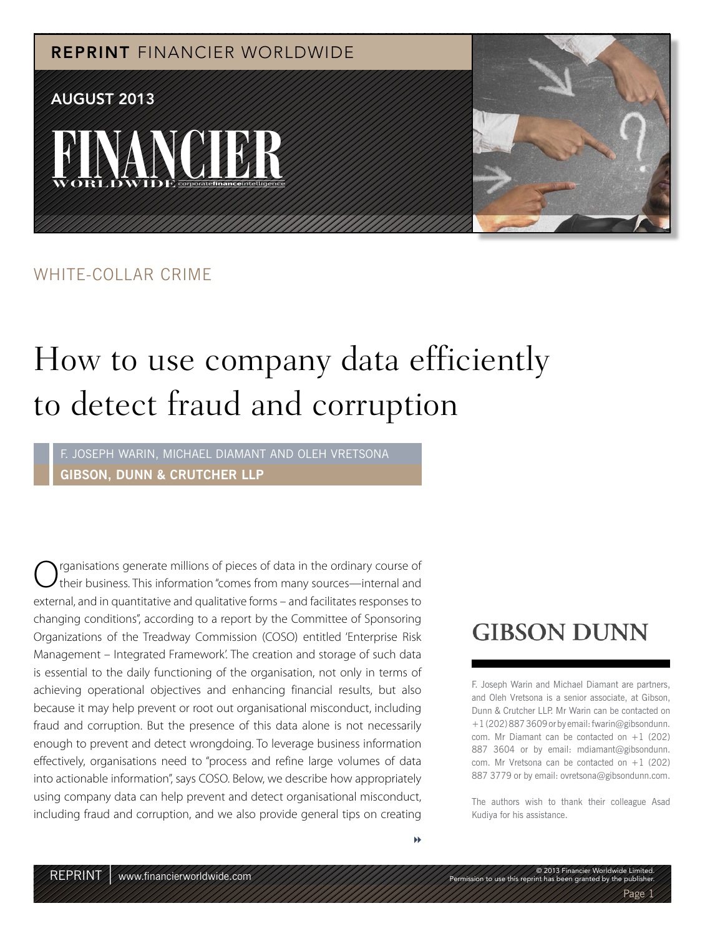**FINANCIER** WORLDWIDE<sup>corporatefinanceintelligence</sup> REPRINT FINANCIER WORLDWIDE AUGUST 2013

### WHITE-COLLAR CRIME

## How to use company data efficiently to detect fraud and corruption

F. JOSEPH WARIN, MICHAEL DIAMANT AND OLEH VRETSONA **GIBSON, DUNN & CRUTCHER LLP**

rganisations generate millions of pieces of data in the ordinary course of their business. This information "comes from many sources—internal and external, and in quantitative and qualitative forms – and facilitates responses to changing conditions", according to a report by the Committee of Sponsoring Organizations of the Treadway Commission (COSO) entitled 'Enterprise Risk Management – Integrated Framework'. The creation and storage of such data is essential to the daily functioning of the organisation, not only in terms of achieving operational objectives and enhancing financial results, but also because it may help prevent or root out organisational misconduct, including fraud and corruption. But the presence of this data alone is not necessarily enough to prevent and detect wrongdoing. To leverage business information effectively, organisations need to "process and refine large volumes of data into actionable information", says COSO. Below, we describe how appropriately using company data can help prevent and detect organisational misconduct, including fraud and corruption, and we also provide general tips on creating

## **GIBSON DUNN**

F. Joseph Warin and Michael Diamant are partners, and Oleh Vretsona is a senior associate, at Gibson, Dunn & Crutcher LLP. Mr Warin can be contacted on +1 (202) 887 3609 or by email: fwarin@gibsondunn. com. Mr Diamant can be contacted on  $+1$  (202) 887 3604 or by email: mdiamant@gibsondunn. com. Mr Vretsona can be contacted on  $+1$  (202) 887 3779 or by email: ovretsona@gibsondunn.com.

The authors wish to thank their colleague Asad Kudiya for his assistance.

© 2013 Financier Worldwide Limited. Permission to use this reprint has been granted by the publisher.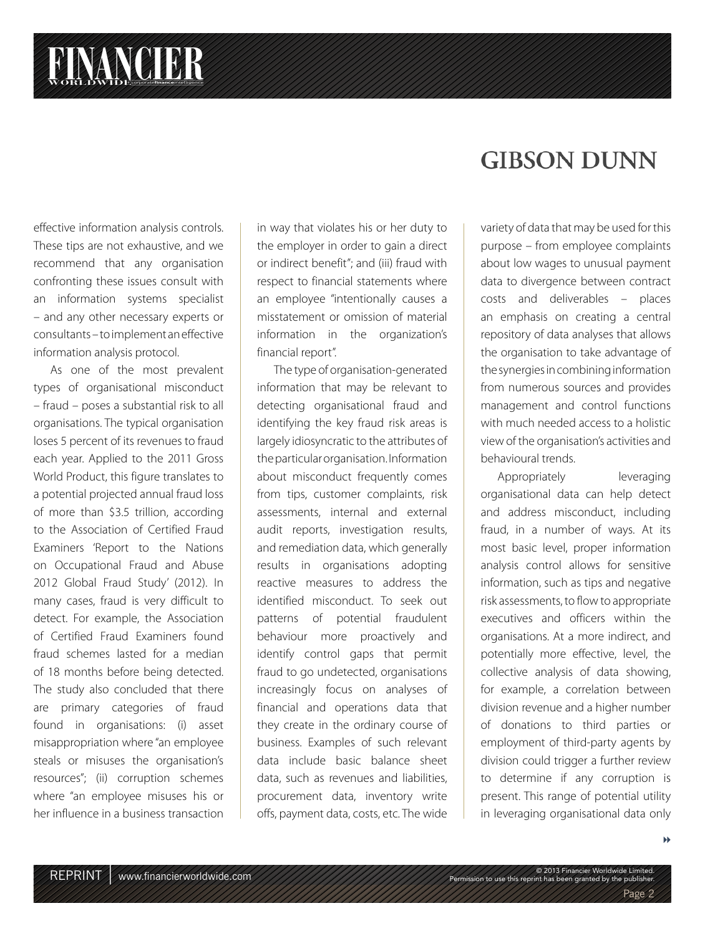effective information analysis controls. These tips are not exhaustive, and we recommend that any organisation confronting these issues consult with an information systems specialist – and any other necessary experts or consultants – to implement an effective information analysis protocol.

As one of the most prevalent types of organisational misconduct – fraud – poses a substantial risk to all organisations. The typical organisation loses 5 percent of its revenues to fraud each year. Applied to the 2011 Gross World Product, this figure translates to a potential projected annual fraud loss of more than \$3.5 trillion, according to the Association of Certified Fraud Examiners 'Report to the Nations on Occupational Fraud and Abuse 2012 Global Fraud Study' (2012). In many cases, fraud is very difficult to detect. For example, the Association of Certified Fraud Examiners found fraud schemes lasted for a median of 18 months before being detected. The study also concluded that there are primary categories of fraud found in organisations: (i) asset misappropriation where "an employee steals or misuses the organisation's resources"; (ii) corruption schemes where "an employee misuses his or her influence in a business transaction in way that violates his or her duty to the employer in order to gain a direct or indirect benefit"; and (iii) fraud with respect to financial statements where an employee "intentionally causes a misstatement or omission of material information in the organization's financial report".

The type of organisation-generated information that may be relevant to detecting organisational fraud and identifying the key fraud risk areas is largely idiosyncratic to the attributes of the particular organisation. Information about misconduct frequently comes from tips, customer complaints, risk assessments, internal and external audit reports, investigation results, and remediation data, which generally results in organisations adopting reactive measures to address the identified misconduct. To seek out patterns of potential fraudulent behaviour more proactively and identify control gaps that permit fraud to go undetected, organisations increasingly focus on analyses of financial and operations data that they create in the ordinary course of business. Examples of such relevant data include basic balance sheet data, such as revenues and liabilities, procurement data, inventory write offs, payment data, costs, etc. The wide

## **GIBSON DUNN**

variety of data that may be used for this purpose – from employee complaints about low wages to unusual payment data to divergence between contract costs and deliverables – places an emphasis on creating a central repository of data analyses that allows the organisation to take advantage of the synergies in combining information from numerous sources and provides management and control functions with much needed access to a holistic view of the organisation's activities and behavioural trends.

Appropriately leveraging organisational data can help detect and address misconduct, including fraud, in a number of ways. At its most basic level, proper information analysis control allows for sensitive information, such as tips and negative risk assessments, to flow to appropriate executives and officers within the organisations. At a more indirect, and potentially more effective, level, the collective analysis of data showing, for example, a correlation between division revenue and a higher number of donations to third parties or employment of third-party agents by division could trigger a further review to determine if any corruption is present. This range of potential utility in leveraging organisational data only